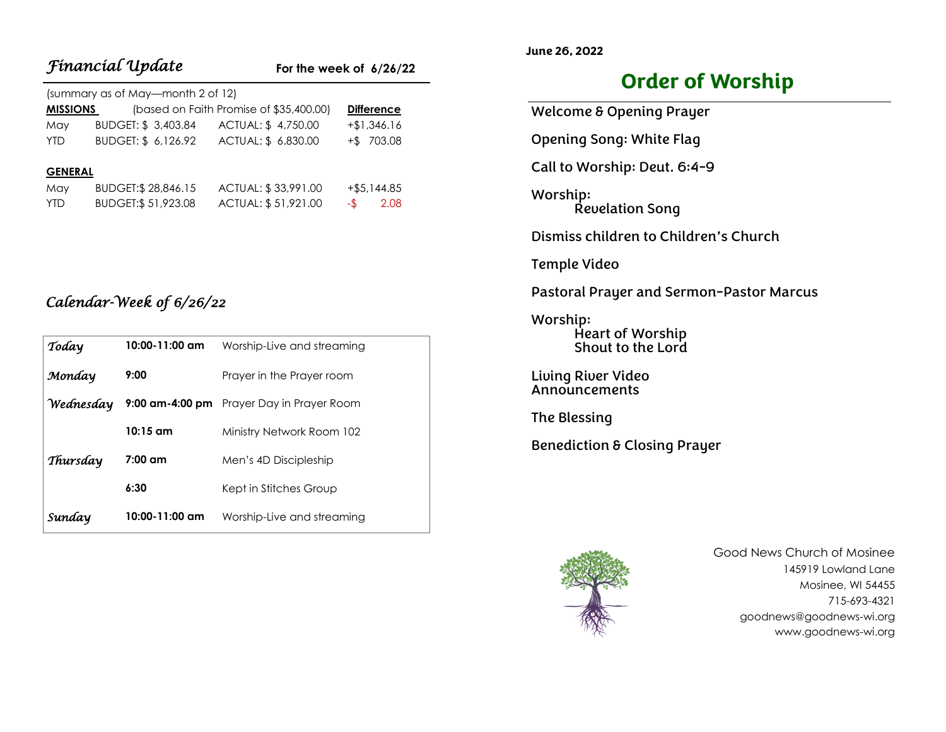|                                   | <b>Financial Update</b> |                                         | For the week of $6/26/22$ |  |  |
|-----------------------------------|-------------------------|-----------------------------------------|---------------------------|--|--|
| (summary as of May—month 2 of 12) |                         |                                         |                           |  |  |
| <b>MISSIONS</b>                   |                         | (based on Faith Promise of \$35,400.00) | <b>Difference</b>         |  |  |
| May                               | BUDGET: \$3,403.84      | ACTUAL: \$4,750.00                      | $+ $1,346.16$             |  |  |
| <b>YTD</b>                        | BUDGET: \$ 6,126.92     | ACTUAL: \$ 6.830.00                     | $+$ \$ 703.08             |  |  |
|                                   |                         |                                         |                           |  |  |
| <b>GENERAL</b>                    |                         |                                         |                           |  |  |
| May                               | BUDGET: \$28,846.15     | ACTUAL: \$33,991.00                     | $+$ \$5,144.85            |  |  |
| <b>YTD</b>                        | BUDGET: \$51,923.08     | ACTUAL: \$51,921.00                     | 2.08<br>-\$               |  |  |

# *Calendar-Week of 6/26/22*

| Today     | 10:00-11:00 am     | Worship-Live and streaming                |
|-----------|--------------------|-------------------------------------------|
| Monday    | 9:00               | Prayer in the Prayer room                 |
| Wednesday |                    | 9:00 am-4:00 pm Prayer Day in Prayer Room |
|           | $10:15$ am         | Ministry Network Room 102                 |
| Thursday  | $7:00$ am          | Men's 4D Discipleship                     |
|           | 6:30               | Kept in Stitches Group                    |
| Sunday    | $10:00 - 11:00$ am | Worship-Live and streaming                |

# **Order of Worship**

Welcome & Opening Prayer Opening Song: White Flag Call to Worship: Deut. 6:4-9 Worship: Revelation Song Dismiss children to Children's Church Temple Video Pastoral Prayer and Sermon-Pastor Marcus Worship: Heart of Worship

Living River Video Announcements

The Blessing

**June 26, 2022**

Benediction & Closing Prayer

Shout to the Lord



Good News Church of Mosinee 145919 Lowland Lane Mosinee, WI 54455 715-693-4321 goodnews@goodnews-wi.org www.goodnews-wi.org